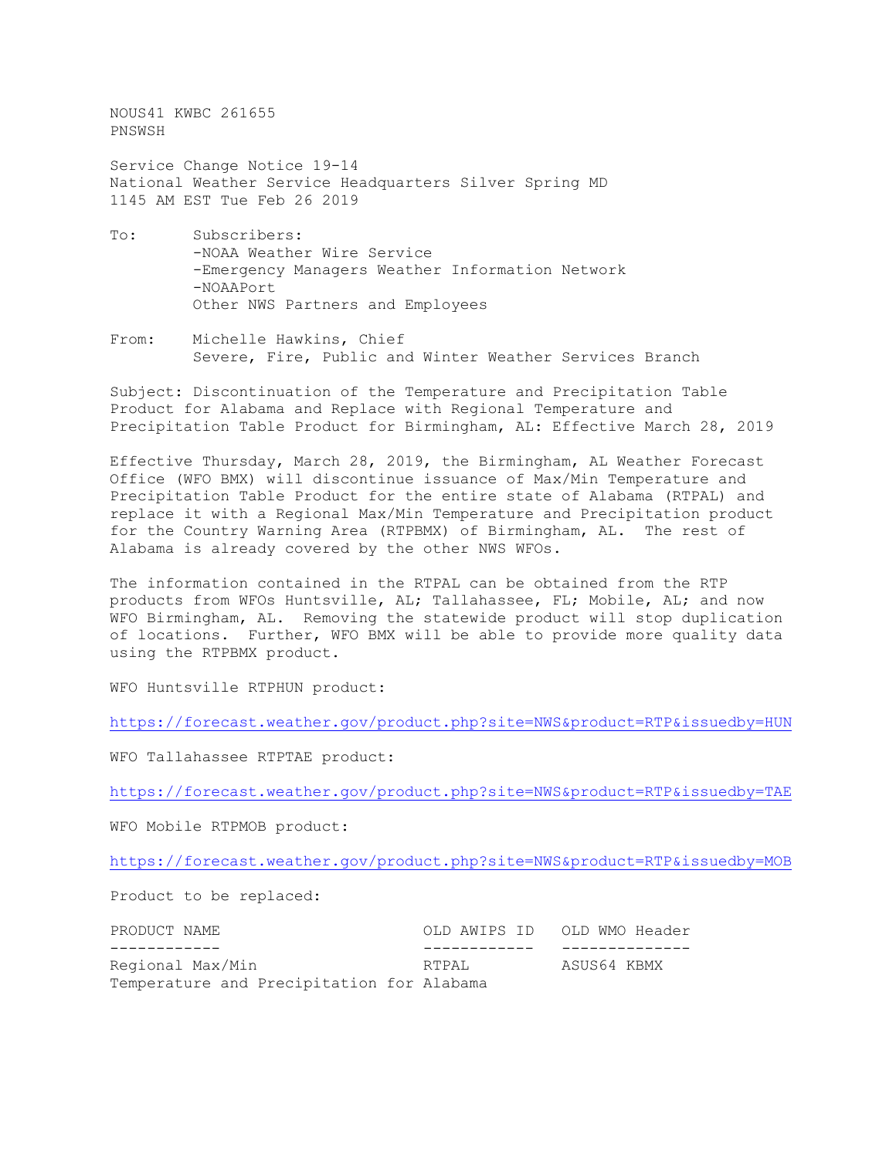NOUS41 KWBC 261655 PNSWSH

Service Change Notice 19-14 National Weather Service Headquarters Silver Spring MD 1145 AM EST Tue Feb 26 2019

- To: Subscribers: -NOAA Weather Wire Service -Emergency Managers Weather Information Network -NOAAPort Other NWS Partners and Employees
- From: Michelle Hawkins, Chief Severe, Fire, Public and Winter Weather Services Branch

Subject: Discontinuation of the Temperature and Precipitation Table Product for Alabama and Replace with Regional Temperature and Precipitation Table Product for Birmingham, AL: Effective March 28, 2019

Effective Thursday, March 28, 2019, the Birmingham, AL Weather Forecast Office (WFO BMX) will discontinue issuance of Max/Min Temperature and Precipitation Table Product for the entire state of Alabama (RTPAL) and replace it with a Regional Max/Min Temperature and Precipitation product for the Country Warning Area (RTPBMX) of Birmingham, AL. The rest of Alabama is already covered by the other NWS WFOs.

The information contained in the RTPAL can be obtained from the RTP products from WFOs Huntsville, AL; Tallahassee, FL; Mobile, AL; and now WFO Birmingham, AL. Removing the statewide product will stop duplication of locations. Further, WFO BMX will be able to provide more quality data using the RTPBMX product.

WFO Huntsville RTPHUN product:

<https://forecast.weather.gov/product.php?site=NWS&product=RTP&issuedby=HUN>

WFO Tallahassee RTPTAE product:

<https://forecast.weather.gov/product.php?site=NWS&product=RTP&issuedby=TAE>

WFO Mobile RTPMOB product:

<https://forecast.weather.gov/product.php?site=NWS&product=RTP&issuedby=MOB>

Product to be replaced:

| PRODUCT NAME                              |       | OLD AWIPS ID OLD WMO Header |
|-------------------------------------------|-------|-----------------------------|
|                                           |       |                             |
| Regional Max/Min                          | RTPAL | ASUS64 KBMX                 |
| Temperature and Precipitation for Alabama |       |                             |